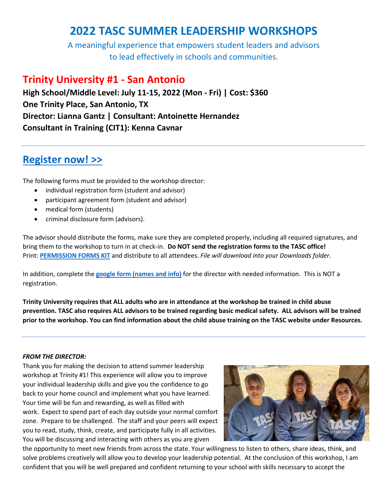# **2022 TASC SUMMER LEADERSHIP WORKSHOPS**

A meaningful experience that empowers student leaders and advisors to lead effectively in schools and communities.

## **Trinity University #1 - San Antonio**

**High School/Middle Level: July 11-15, 2022 (Mon - Fri) | Cost: \$360 One Trinity Place, San Antonio, TX Director: Lianna Gantz | Consultant: Antoinette Hernandez Consultant in Training (CIT1): Kenna Cavnar**

# **[Register now! >>](https://tasc.memberclicks.net/index.php?option=com_mcform&view=ngforms&id=2119506)**

The following forms must be provided to the workshop director:

- individual registration form (student and advisor)
- participant agreement form (student and advisor)
- medical form (students)
- criminal disclosure form (advisors).

The advisor should distribute the forms, make sure they are completed properly, including all required signatures, and bring them to the workshop to turn in at check-in. **Do NOT send the registration forms to the TASC office!** Print: **[PERMISSION FORMS](https://www.tasconline.org/assets/SUMMER_LEADERSHIP_WORKSHOPS/2022_SLW_FORM_KIT_ONSITE.docx) KIT** and distribute to all attendees. *File will download into your Downloads folder.*

In addition, complete the **[google form \(names and info\)](https://docs.google.com/forms/d/e/1FAIpQLSfg6SIHyMjFs9AmXNcVM_Z-WDG8JX4qlTDW84fgSlNFp-hKiA/viewform)** for the director with needed information. This is NOT a registration.

Trinity University requires that ALL adults who are in attendance at the workshop be trained in child abuse prevention. TASC also requires ALL advisors to be trained regarding basic medical safety. ALL advisors will be trained prior to the workshop. You can find information about the child abuse training on the TASC website under Resources.

## *FROM THE DIRECTOR:*

Thank you for making the decision to attend summer leadership workshop at Trinity #1! This experience will allow you to improve your individual leadership skills and give you the confidence to go back to your home council and implement what you have learned. Your time will be fun and rewarding, as well as filled with work. Expect to spend part of each day outside your normal comfort zone. Prepare to be challenged. The staff and your peers will expect you to read, study, think, create, and participate fully in all activities. You will be discussing and interacting with others as you are given



the opportunity to meet new friends from across the state. Your willingness to listen to others, share ideas, think, and solve problems creatively will allow you to develop your leadership potential. At the conclusion of this workshop, I am confident that you will be well prepared and confident returning to your school with skills necessary to accept the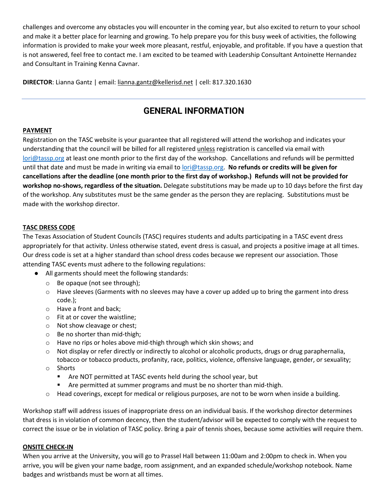challenges and overcome any obstacles you will encounter in the coming year, but also excited to return to your school and make it a better place for learning and growing. To help prepare you for this busy week of activities, the following information is provided to make your week more pleasant, restful, enjoyable, and profitable. If you have a question that is not answered, feel free to contact me. I am excited to be teamed with Leadership Consultant Antoinette Hernandez and Consultant in Training Kenna Cavnar.

**DIRECTOR**: Lianna Gantz | email[: lianna.gantz@kellerisd.net](mailto:lianna.gantz@kellerisd.net) | cell: 817.320.1630

## **GENERAL INFORMATION**

## **PAYMENT**

Registration on the TASC website is your guarantee that all registered will attend the workshop and indicates your understanding that the council will be billed for all registered unless registration is cancelled via email with [lori@tassp.org](mailto:lori@tassp.org) at least one month prior to the first day of the workshop. Cancellations and refunds will be permitted until that date and must be made in writing via email to [lori@tassp.org.](mailto:lori@tassp.org) **No refunds or credits will be given for cancellations after the deadline (one month prior to the first day of workshop.) Refunds will not be provided for workshop no-shows, regardless of the situation.** Delegate substitutions may be made up to 10 days before the first day of the workshop. Any substitutes must be the same gender as the person they are replacing. Substitutions must be made with the workshop director.

## **TASC DRESS CODE**

The Texas Association of Student Councils (TASC) requires students and adults participating in a TASC event dress appropriately for that activity. Unless otherwise stated, event dress is casual, and projects a positive image at all times. Our dress code is set at a higher standard than school dress codes because we represent our association. Those attending TASC events must adhere to the following regulations:

- All garments should meet the following standards:
	- o Be opaque (not see through);
	- $\circ$  Have sleeves (Garments with no sleeves may have a cover up added up to bring the garment into dress code.);
	- o Have a front and back;
	- o Fit at or cover the waistline;
	- o Not show cleavage or chest;
	- o Be no shorter than mid-thigh;
	- $\circ$  Have no rips or holes above mid-thigh through which skin shows; and
	- $\circ$  Not display or refer directly or indirectly to alcohol or alcoholic products, drugs or drug paraphernalia, tobacco or tobacco products, profanity, race, politics, violence, offensive language, gender, or sexuality;
	- o Shorts
		- Are NOT permitted at TASC events held during the school year, but
		- Are permitted at summer programs and must be no shorter than mid-thigh.
	- o Head coverings, except for medical or religious purposes, are not to be worn when inside a building.

Workshop staff will address issues of inappropriate dress on an individual basis. If the workshop director determines that dress is in violation of common decency, then the student/advisor will be expected to comply with the request to correct the issue or be in violation of TASC policy. Bring a pair of tennis shoes, because some activities will require them.

## **ONSITE CHECK-IN**

When you arrive at the University, you will go to Prassel Hall between 11:00am and 2:00pm to check in. When you arrive, you will be given your name badge, room assignment, and an expanded schedule/workshop notebook. Name badges and wristbands must be worn at all times.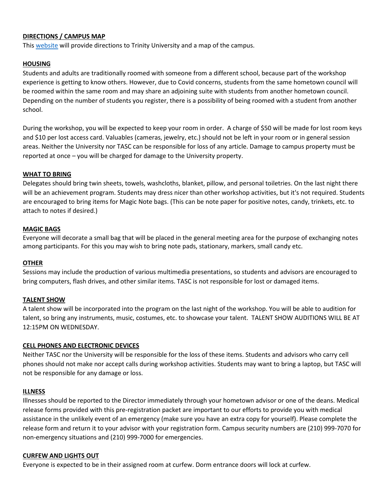## **DIRECTIONS / CAMPUS MAP**

This [website](https://www.trinity.edu/directory/campus-map) will provide directions to Trinity University and a map of the campus.

## **HOUSING**

Students and adults are traditionally roomed with someone from a different school, because part of the workshop experience is getting to know others. However, due to Covid concerns, students from the same hometown council will be roomed within the same room and may share an adjoining suite with students from another hometown council. Depending on the number of students you register, there is a possibility of being roomed with a student from another school.

During the workshop, you will be expected to keep your room in order. A charge of \$50 will be made for lost room keys and \$10 per lost access card. Valuables (cameras, jewelry, etc.) should not be left in your room or in general session areas. Neither the University nor TASC can be responsible for loss of any article. Damage to campus property must be reported at once – you will be charged for damage to the University property.

## **WHAT TO BRING**

Delegates should bring twin sheets, towels, washcloths, blanket, pillow, and personal toiletries. On the last night there will be an achievement program. Students may dress nicer than other workshop activities, but it's not required. Students are encouraged to bring items for Magic Note bags. (This can be note paper for positive notes, candy, trinkets, etc. to attach to notes if desired.)

#### **MAGIC BAGS**

Everyone will decorate a small bag that will be placed in the general meeting area for the purpose of exchanging notes among participants. For this you may wish to bring note pads, stationary, markers, small candy etc.

#### **OTHER**

Sessions may include the production of various multimedia presentations, so students and advisors are encouraged to bring computers, flash drives, and other similar items. TASC is not responsible for lost or damaged items.

## **TALENT SHOW**

A talent show will be incorporated into the program on the last night of the workshop. You will be able to audition for talent, so bring any instruments, music, costumes, etc. to showcase your talent. TALENT SHOW AUDITIONS WILL BE AT 12:15PM ON WEDNESDAY.

#### **CELL PHONES AND ELECTRONIC DEVICES**

Neither TASC nor the University will be responsible for the loss of these items. Students and advisors who carry cell phones should not make nor accept calls during workshop activities. Students may want to bring a laptop, but TASC will not be responsible for any damage or loss.

#### **ILLNESS**

Illnesses should be reported to the Director immediately through your hometown advisor or one of the deans. Medical release forms provided with this pre-registration packet are important to our efforts to provide you with medical assistance in the unlikely event of an emergency (make sure you have an extra copy for yourself). Please complete the release form and return it to your advisor with your registration form. Campus security numbers are (210) 999-7070 for non-emergency situations and (210) 999-7000 for emergencies.

#### **CURFEW AND LIGHTS OUT**

Everyone is expected to be in their assigned room at curfew. Dorm entrance doors will lock at curfew.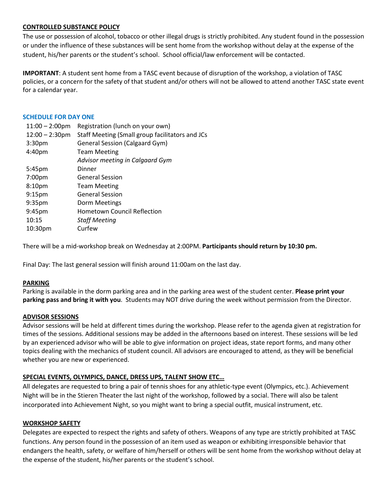## **CONTROLLED SUBSTANCE POLICY**

The use or possession of alcohol, tobacco or other illegal drugs is strictly prohibited. Any student found in the possession or under the influence of these substances will be sent home from the workshop without delay at the expense of the student, his/her parents or the student's school. School official/law enforcement will be contacted.

**IMPORTANT**: A student sent home from a TASC event because of disruption of the workshop, a violation of TASC policies, or a concern for the safety of that student and/or others will not be allowed to attend another TASC state event for a calendar year.

#### **SCHEDULE FOR DAY ONE**

| $11:00 - 2:00$ pm  | Registration (lunch on your own)                |
|--------------------|-------------------------------------------------|
| $12:00 - 2:30$ pm  | Staff Meeting (Small group facilitators and JCs |
| 3:30 <sub>pm</sub> | <b>General Session (Calgaard Gym)</b>           |
| 4:40 <sub>pm</sub> | <b>Team Meeting</b>                             |
|                    | Advisor meeting in Calgaard Gym                 |
| 5:45 <sub>pm</sub> | Dinner                                          |
| 7:00pm             | <b>General Session</b>                          |
| 8:10pm             | <b>Team Meeting</b>                             |
| 9:15 <sub>pm</sub> | <b>General Session</b>                          |
| 9:35 <sub>pm</sub> | Dorm Meetings                                   |
| 9:45pm             | <b>Hometown Council Reflection</b>              |
| 10:15              | <b>Staff Meeting</b>                            |
| 10:30pm            | Curfew                                          |

There will be a mid-workshop break on Wednesday at 2:00PM. **Participants should return by 10:30 pm.**

Final Day: The last general session will finish around 11:00am on the last day.

#### **PARKING**

Parking is available in the dorm parking area and in the parking area west of the student center. **Please print your parking pass and bring it with you**. Students may NOT drive during the week without permission from the Director.

#### **ADVISOR SESSIONS**

Advisor sessions will be held at different times during the workshop. Please refer to the agenda given at registration for times of the sessions. Additional sessions may be added in the afternoons based on interest. These sessions will be led by an experienced advisor who will be able to give information on project ideas, state report forms, and many other topics dealing with the mechanics of student council. All advisors are encouraged to attend, as they will be beneficial whether you are new or experienced.

## **SPECIAL EVENTS, OLYMPICS, DANCE, DRESS UPS, TALENT SHOW ETC…**

All delegates are requested to bring a pair of tennis shoes for any athletic-type event (Olympics, etc.). Achievement Night will be in the Stieren Theater the last night of the workshop, followed by a social. There will also be talent incorporated into Achievement Night, so you might want to bring a special outfit, musical instrument, etc.

#### **WORKSHOP SAFETY**

Delegates are expected to respect the rights and safety of others. Weapons of any type are strictly prohibited at TASC functions. Any person found in the possession of an item used as weapon or exhibiting irresponsible behavior that endangers the health, safety, or welfare of him/herself or others will be sent home from the workshop without delay at the expense of the student, his/her parents or the student's school.